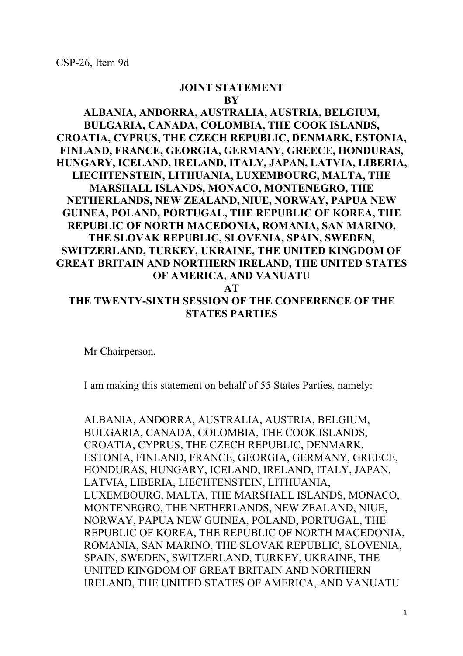## **JOINT STATEMENT BY**

## **ALBANIA, ANDORRA, AUSTRALIA, AUSTRIA, BELGIUM, BULGARIA, CANADA, COLOMBIA, THE COOK ISLANDS, CROATIA, CYPRUS, THE CZECH REPUBLIC, DENMARK, ESTONIA, FINLAND, FRANCE, GEORGIA, GERMANY, GREECE, HONDURAS, HUNGARY, ICELAND, IRELAND, ITALY, JAPAN, LATVIA, LIBERIA, LIECHTENSTEIN, LITHUANIA, LUXEMBOURG, MALTA, THE MARSHALL ISLANDS, MONACO, MONTENEGRO, THE NETHERLANDS, NEW ZEALAND, NIUE, NORWAY, PAPUA NEW GUINEA, POLAND, PORTUGAL, THE REPUBLIC OF KOREA, THE REPUBLIC OF NORTH MACEDONIA, ROMANIA, SAN MARINO, THE SLOVAK REPUBLIC, SLOVENIA, SPAIN, SWEDEN, SWITZERLAND, TURKEY, UKRAINE, THE UNITED KINGDOM OF GREAT BRITAIN AND NORTHERN IRELAND, THE UNITED STATES OF AMERICA, AND VANUATU AT THE TWENTY-SIXTH SESSION OF THE CONFERENCE OF THE STATES PARTIES**

Mr Chairperson,

I am making this statement on behalf of 55 States Parties, namely:

ALBANIA, ANDORRA, AUSTRALIA, AUSTRIA, BELGIUM, BULGARIA, CANADA, COLOMBIA, THE COOK ISLANDS, CROATIA, CYPRUS, THE CZECH REPUBLIC, DENMARK, ESTONIA, FINLAND, FRANCE, GEORGIA, GERMANY, GREECE, HONDURAS, HUNGARY, ICELAND, IRELAND, ITALY, JAPAN, LATVIA, LIBERIA, LIECHTENSTEIN, LITHUANIA, LUXEMBOURG, MALTA, THE MARSHALL ISLANDS, MONACO, MONTENEGRO, THE NETHERLANDS, NEW ZEALAND, NIUE, NORWAY, PAPUA NEW GUINEA, POLAND, PORTUGAL, THE REPUBLIC OF KOREA, THE REPUBLIC OF NORTH MACEDONIA, ROMANIA, SAN MARINO, THE SLOVAK REPUBLIC, SLOVENIA, SPAIN, SWEDEN, SWITZERLAND, TURKEY, UKRAINE, THE UNITED KINGDOM OF GREAT BRITAIN AND NORTHERN IRELAND, THE UNITED STATES OF AMERICA, AND VANUATU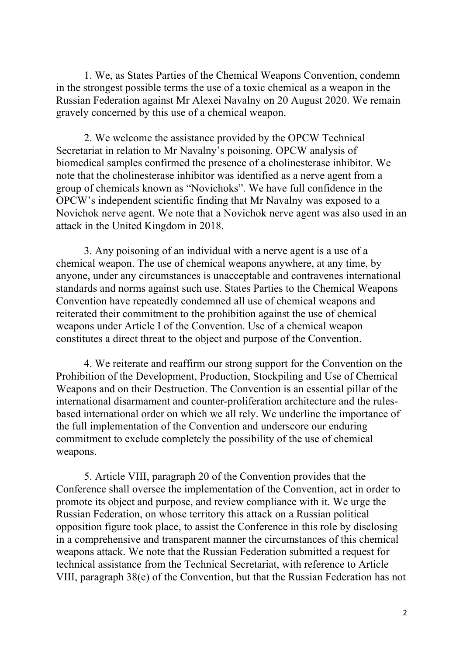1. We, as States Parties of the Chemical Weapons Convention, condemn in the strongest possible terms the use of a toxic chemical as a weapon in the Russian Federation against Mr Alexei Navalny on 20 August 2020. We remain gravely concerned by this use of a chemical weapon.

2. We welcome the assistance provided by the OPCW Technical Secretariat in relation to Mr Navalny's poisoning. OPCW analysis of biomedical samples confirmed the presence of a cholinesterase inhibitor. We note that the cholinesterase inhibitor was identified as a nerve agent from a group of chemicals known as "Novichoks". We have full confidence in the OPCW's independent scientific finding that Mr Navalny was exposed to a Novichok nerve agent. We note that a Novichok nerve agent was also used in an attack in the United Kingdom in 2018.

3. Any poisoning of an individual with a nerve agent is a use of a chemical weapon. The use of chemical weapons anywhere, at any time, by anyone, under any circumstances is unacceptable and contravenes international standards and norms against such use. States Parties to the Chemical Weapons Convention have repeatedly condemned all use of chemical weapons and reiterated their commitment to the prohibition against the use of chemical weapons under Article I of the Convention. Use of a chemical weapon constitutes a direct threat to the object and purpose of the Convention.

4. We reiterate and reaffirm our strong support for the Convention on the Prohibition of the Development, Production, Stockpiling and Use of Chemical Weapons and on their Destruction. The Convention is an essential pillar of the international disarmament and counter-proliferation architecture and the rulesbased international order on which we all rely. We underline the importance of the full implementation of the Convention and underscore our enduring commitment to exclude completely the possibility of the use of chemical weapons.

5. Article VIII, paragraph 20 of the Convention provides that the Conference shall oversee the implementation of the Convention, act in order to promote its object and purpose, and review compliance with it. We urge the Russian Federation, on whose territory this attack on a Russian political opposition figure took place, to assist the Conference in this role by disclosing in a comprehensive and transparent manner the circumstances of this chemical weapons attack. We note that the Russian Federation submitted a request for technical assistance from the Technical Secretariat, with reference to Article VIII, paragraph 38(e) of the Convention, but that the Russian Federation has not